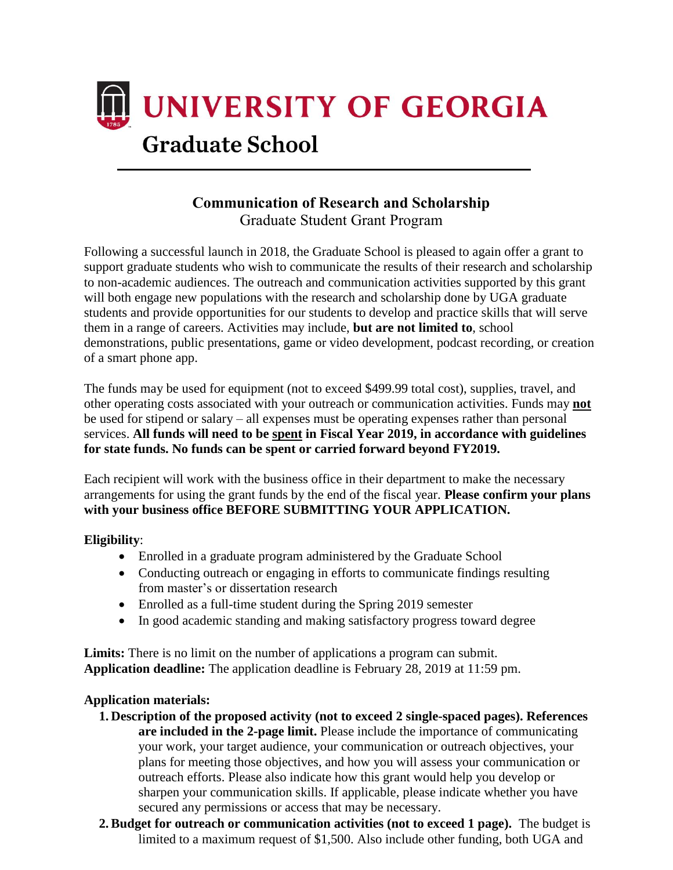

# **Communication of Research and Scholarship** Graduate Student Grant Program

Following a successful launch in 2018, the Graduate School is pleased to again offer a grant to support graduate students who wish to communicate the results of their research and scholarship to non-academic audiences. The outreach and communication activities supported by this grant will both engage new populations with the research and scholarship done by UGA graduate students and provide opportunities for our students to develop and practice skills that will serve them in a range of careers. Activities may include, **but are not limited to**, school demonstrations, public presentations, game or video development, podcast recording, or creation of a smart phone app.

The funds may be used for equipment (not to exceed \$499.99 total cost), supplies, travel, and other operating costs associated with your outreach or communication activities. Funds may **not** be used for stipend or salary – all expenses must be operating expenses rather than personal services. **All funds will need to be spent in Fiscal Year 2019, in accordance with guidelines for state funds. No funds can be spent or carried forward beyond FY2019.**

Each recipient will work with the business office in their department to make the necessary arrangements for using the grant funds by the end of the fiscal year. **Please confirm your plans with your business office BEFORE SUBMITTING YOUR APPLICATION.**

#### **Eligibility**:

- Enrolled in a graduate program administered by the Graduate School
- Conducting outreach or engaging in efforts to communicate findings resulting from master's or dissertation research
- Enrolled as a full-time student during the Spring 2019 semester
- In good academic standing and making satisfactory progress toward degree

Limits: There is no limit on the number of applications a program can submit. **Application deadline:** The application deadline is February 28, 2019 at 11:59 pm.

#### **Application materials:**

- **1. Description of the proposed activity (not to exceed 2 single-spaced pages). References are included in the 2-page limit.** Please include the importance of communicating your work, your target audience, your communication or outreach objectives, your plans for meeting those objectives, and how you will assess your communication or outreach efforts. Please also indicate how this grant would help you develop or sharpen your communication skills. If applicable, please indicate whether you have secured any permissions or access that may be necessary.
- **2. Budget for outreach or communication activities (not to exceed 1 page).** The budget is limited to a maximum request of \$1,500. Also include other funding, both UGA and